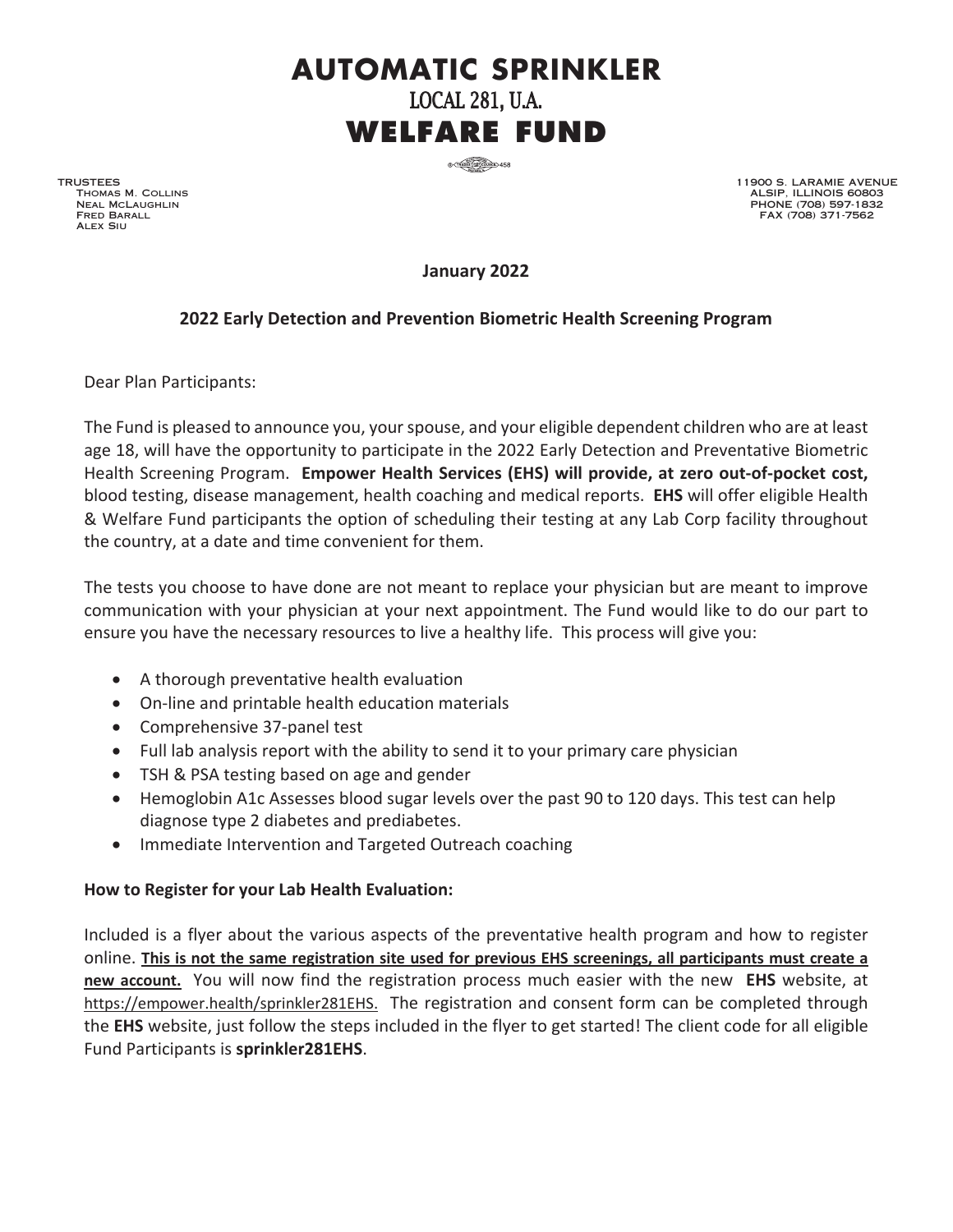## **AUTOMATIC SPRINKLER** LOCAL 281, U.A. **WELFARE FUND**

 $\frac{1}{10}$  (Taxable  $\frac{1}{100}$  Council) 458

TRUSTEES Thomas M. Collins Neal McLaughlin Fred Barall Alex Siu

11900 S. LARAMIE AVENUE ALSIP, ILLINOIS 60803 PHONE (708) 597-1832 FAX (708) 371-7562

**January 2022** 

## **2022 Early Detection and Prevention Biometric Health Screening Program**

Dear Plan Participants:

The Fund is pleased to announce you, your spouse, and your eligible dependent children who are at least age 18, will have the opportunity to participate in the 2022 Early Detection and Preventative Biometric Health Screening Program. **Empower Health Services (EHS) will provide, at zero out-of-pocket cost,** blood testing, disease management, health coaching and medical reports. **EHS** will offer eligible Health & Welfare Fund participants the option of scheduling their testing at any Lab Corp facility throughout the country, at a date and time convenient for them.

The tests you choose to have done are not meant to replace your physician but are meant to improve communication with your physician at your next appointment. The Fund would like to do our part to ensure you have the necessary resources to live a healthy life. This process will give you:

- A thorough preventative health evaluation
- On-line and printable health education materials
- Comprehensive 37-panel test
- Full lab analysis report with the ability to send it to your primary care physician
- TSH & PSA testing based on age and gender
- Hemoglobin A1c Assesses blood sugar levels over the past 90 to 120 days. This test can help diagnose type 2 diabetes and prediabetes.
- Immediate Intervention and Targeted Outreach coaching

## **How to Register for your Lab Health Evaluation:**

Included is a flyer about the various aspects of the preventative health program and how to register online. **This is not the same registration site used for previous EHS screenings, all participants must create a new account.** You will now find the registration process much easier with the new **EHS** website, at https://empower.health/sprinkler281EHS. The registration and consent form can be completed through the **EHS** website, just follow the steps included in the flyer to get started! The client code for all eligible Fund Participants is **sprinkler281EHS**.